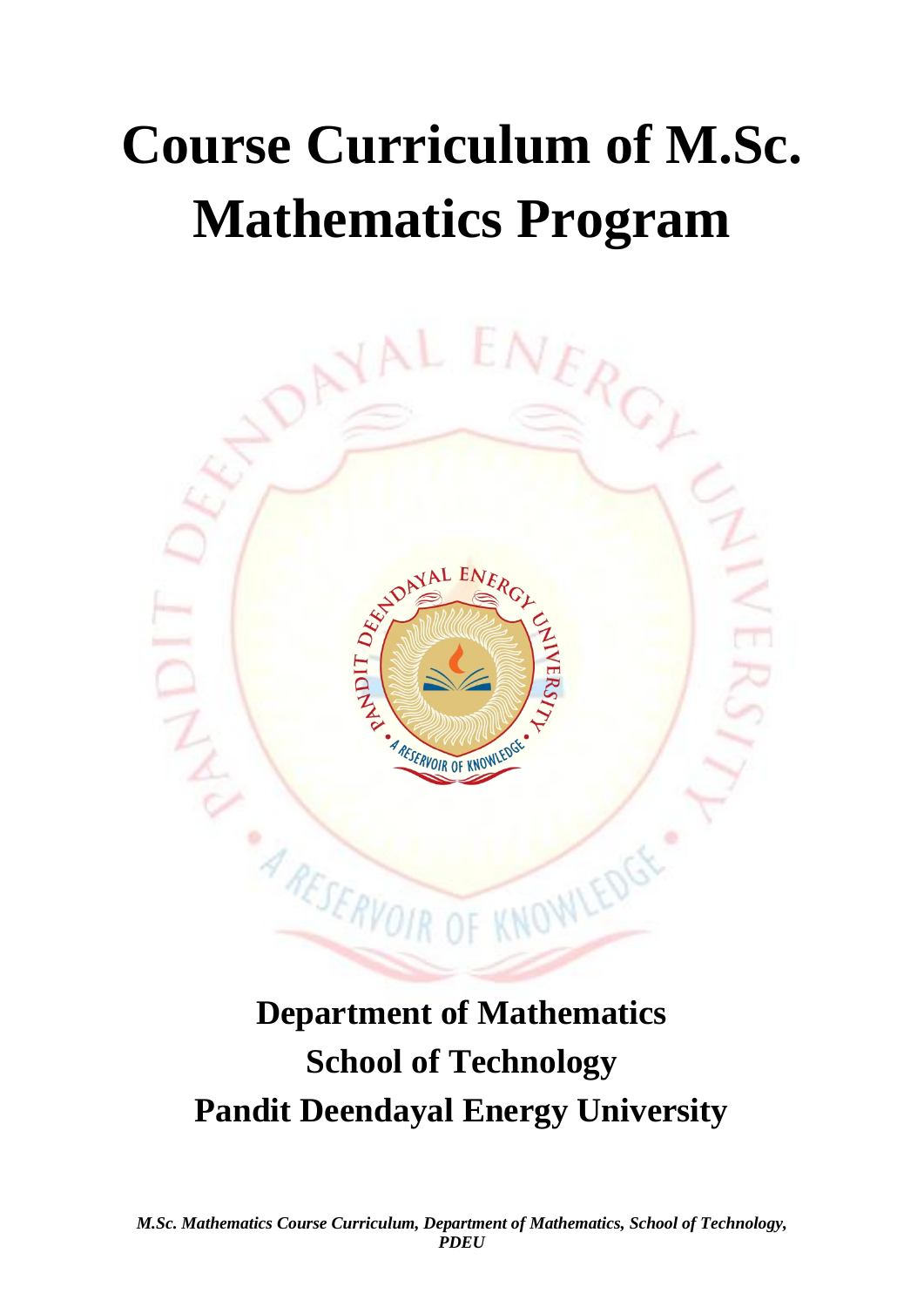## **Course Curriculum of M.Sc. Mathematics Program**



## **Department of Mathematics School of Technology Pandit Deendayal Energy University**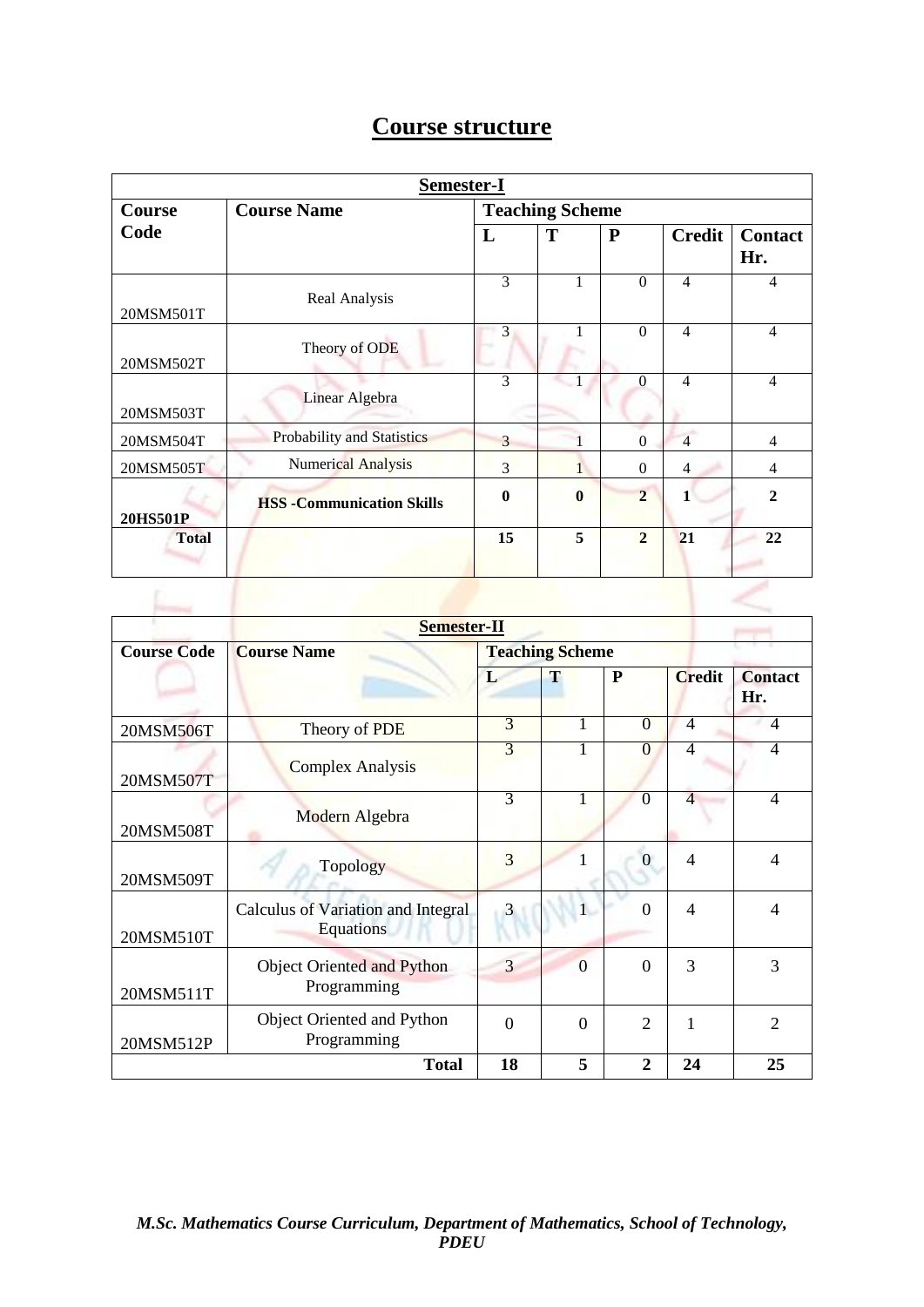|--|

| Semester-I   |                                   |                        |              |                |                |                       |  |
|--------------|-----------------------------------|------------------------|--------------|----------------|----------------|-----------------------|--|
| Course       | <b>Course Name</b>                | <b>Teaching Scheme</b> |              |                |                |                       |  |
| Code         |                                   | L                      | T            | ${\bf P}$      | <b>Credit</b>  | <b>Contact</b><br>Hr. |  |
| 20MSM501T    | Real Analysis                     | 3                      | 1            | $\Omega$       | $\overline{4}$ | 4                     |  |
| 20MSM502T    | Theory of ODE                     | 3                      |              | $\Omega$       | 4              | $\overline{4}$        |  |
| 20MSM503T    | Linear Algebra                    | 3                      |              | $\Omega$       | $\overline{4}$ | $\overline{4}$        |  |
| 20MSM504T    | Probability and Statistics        | 3                      |              | $\Omega$       | $\overline{4}$ | $\overline{4}$        |  |
| 20MSM505T    | <b>Numerical Analysis</b>         | 3                      |              | $\Omega$       | 4              | 4                     |  |
| 20HS501P     | <b>HSS - Communication Skills</b> | 0                      | $\mathbf{0}$ | $\overline{2}$ | 1              | $\mathcal{D}_{\cdot}$ |  |
| <b>Total</b> |                                   | 15                     | 5            | $\mathbf{2}$   | 21             | 22                    |  |
|              |                                   |                        |              |                |                |                       |  |

| Semester-II        |                                                 |                        |                |                |                |                          |  |
|--------------------|-------------------------------------------------|------------------------|----------------|----------------|----------------|--------------------------|--|
| <b>Course Code</b> | <b>Course Name</b>                              | <b>Teaching Scheme</b> |                |                |                |                          |  |
|                    |                                                 | L                      | T              | P              | <b>Credit</b>  | <b>Contact</b><br>Hr.    |  |
| 20MSM506T          | Theory of PDE                                   | 3                      | 1              | $\Omega$       | $\overline{4}$ | 4                        |  |
| 20MSM507T          | <b>Complex Analysis</b>                         | 3                      | 1              | 0              | 4              | 4                        |  |
| 20MSM508T          | Modern Algebra                                  | 3                      | 1              | $\theta$       | $\overline{4}$ | $\overline{\mathcal{A}}$ |  |
| 20MSM509T          | Topology                                        | 3                      | 1              | $\Omega$       | $\overline{4}$ | 4                        |  |
| 20MSM510T          | Calculus of Variation and Integral<br>Equations | 3                      | $\mathbf{1}$   | $\Omega$       | $\overline{4}$ | 4                        |  |
| 20MSM511T          | Object Oriented and Python<br>Programming       | 3                      | $\overline{0}$ | $\Omega$       | 3              | 3                        |  |
| 20MSM512P          | Object Oriented and Python<br>Programming       | $\Omega$               | $\Omega$       | $\overline{2}$ | 1              | $\overline{c}$           |  |
|                    | <b>Total</b>                                    | 18                     | 5              | $\mathbf{2}$   | 24             | 25                       |  |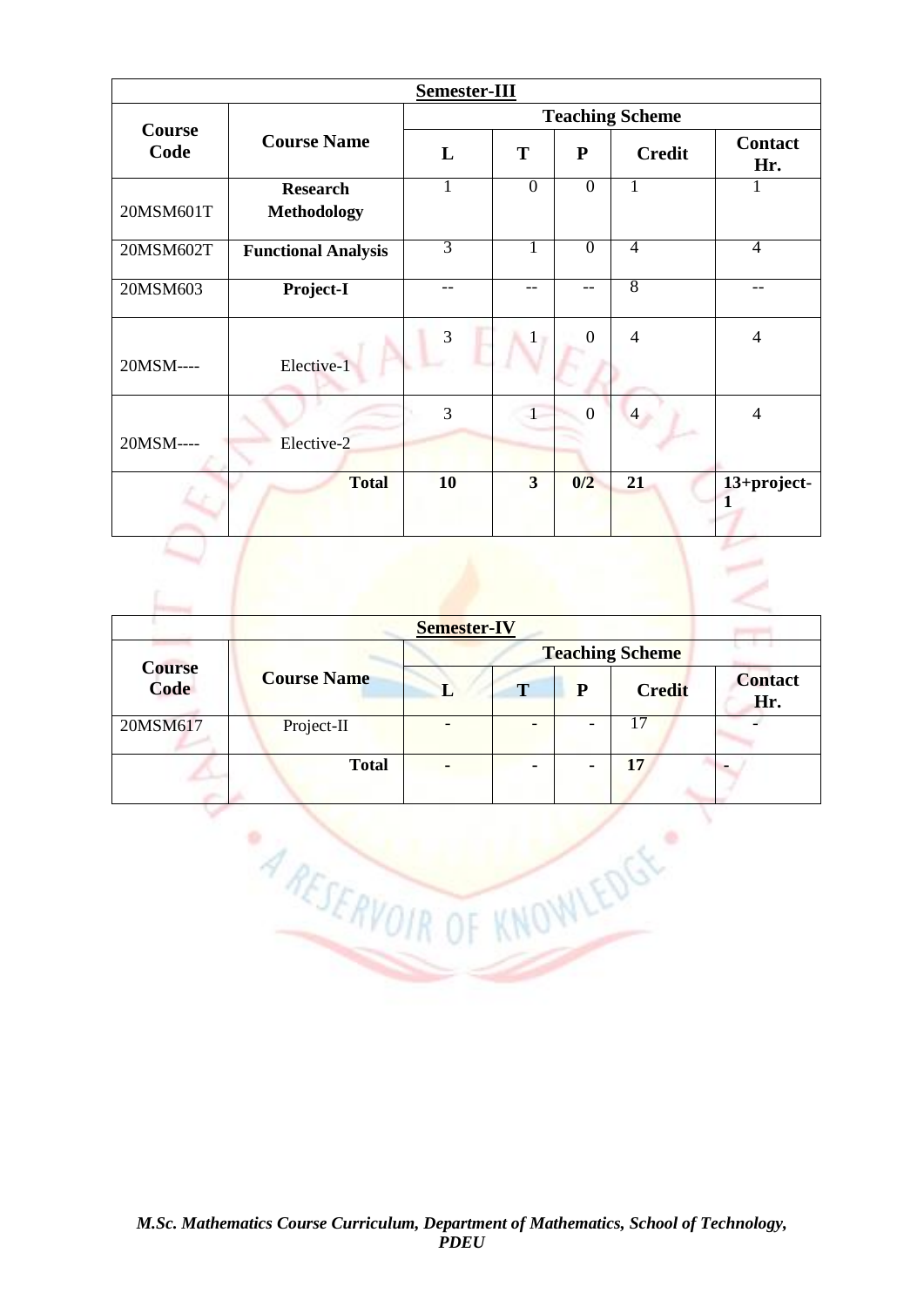| Semester-III   |                            |                        |                         |                |                |                       |  |
|----------------|----------------------------|------------------------|-------------------------|----------------|----------------|-----------------------|--|
|                |                            | <b>Teaching Scheme</b> |                         |                |                |                       |  |
| Course<br>Code | <b>Course Name</b>         | L                      | T                       | ${\bf P}$      | <b>Credit</b>  | <b>Contact</b><br>Hr. |  |
|                | <b>Research</b>            | 1                      | $\overline{0}$          | $\overline{0}$ | L              |                       |  |
| 20MSM601T      | <b>Methodology</b>         |                        |                         |                |                |                       |  |
| 20MSM602T      | <b>Functional Analysis</b> | $\overline{3}$         | 1                       | $\overline{0}$ | 4              | $\overline{4}$        |  |
| 20MSM603       | Project-I                  | $-$                    | --                      | --             | 8              | --                    |  |
| 20MSM----      | Elective-1                 | 3                      | $\mathbf{1}$            | $\Omega$       | $\overline{4}$ | $\overline{4}$        |  |
| 20MSM----      | Elective-2                 | 3                      |                         | $\overline{0}$ | 4              | $\overline{4}$        |  |
|                | <b>Total</b>               | <b>10</b>              | $\overline{\mathbf{3}}$ | 0/2            | 21             | 13+project-<br>1      |  |

| <b>Semester-IV</b>    |                    |                        |   |   |                 |                       |  |  |
|-----------------------|--------------------|------------------------|---|---|-----------------|-----------------------|--|--|
|                       | <b>Course Name</b> | <b>Teaching Scheme</b> |   |   |                 |                       |  |  |
| <b>Course</b><br>Code |                    |                        | T | P | <b>Credit</b>   | <b>Contact</b><br>Hr. |  |  |
| 20MSM617              | Project-II         |                        | - | ٠ | 17              |                       |  |  |
|                       | <b>Total</b>       | -                      | ۰ | ۰ | $\overline{17}$ |                       |  |  |

**ARESERVOIR OF KNOWLEDGE** 

ĭ